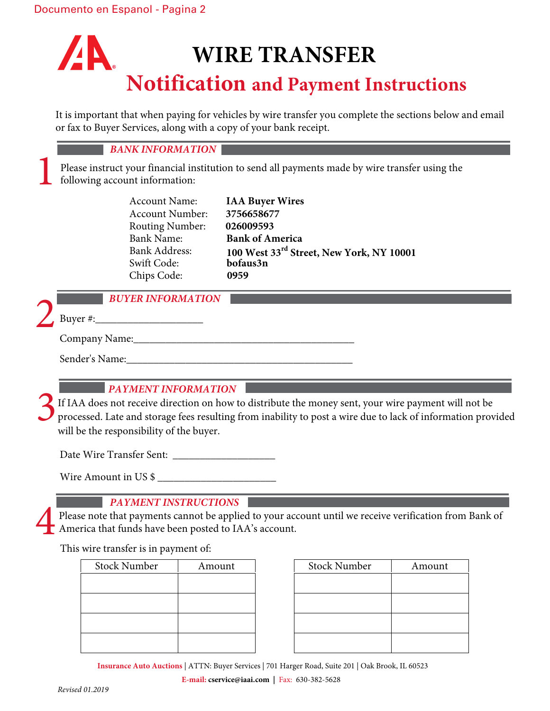# **AN WIRE TRANSFER Notification and Payment Instructions**

It is important that when paying for vehicles by wire transfer you complete the sections below and email or fax to Buyer Services, along with a copy of your bank receipt.

#### *BANK INFORMATION*

Please instruct your financial institution to send all payments made by wire transfer using the following account information:

| <b>IAA Buyer Wires</b>                   |
|------------------------------------------|
| 3756658677                               |
| 026009593                                |
| <b>Bank of America</b>                   |
| 100 West 33rd Street, New York, NY 10001 |
| bofaus3n                                 |
| 0959                                     |
|                                          |

1

#### *BUYER INFORMATION*

Buyer  $\#$ :

Company Name:

Sender's Name:

## *PAYMENT INFORMATION*

If IAA does not receive direction on how to distribute the money sent, your wire payment will not be processed. Late and storage fees resulting from inability to post a wire due to lack of information provided will be the responsibility of the buyer. 3

Date Wire Transfer Sent: \_\_\_\_\_\_\_\_\_\_\_\_\_\_\_\_\_\_\_

Wire Amount in US \$ \_\_\_\_\_\_\_\_\_\_\_\_\_\_\_\_\_\_\_\_\_\_

### *PAYMENT INSTRUCTIONS*

Please note that payments cannot be applied to your account until we receive verification from Bank of America that funds have been posted to IAA's account.

This wire transfer is in payment of:

| <b>Stock Number</b> | Amount | <b>Stock Number</b> | Amount |
|---------------------|--------|---------------------|--------|
|                     |        |                     |        |
|                     |        |                     |        |
|                     |        |                     |        |
|                     |        |                     |        |
|                     |        |                     |        |
|                     |        |                     |        |
|                     |        |                     |        |
|                     |        |                     |        |
|                     |        |                     |        |

| <b>Stock Number</b> | Amount |
|---------------------|--------|
|                     |        |
|                     |        |
|                     |        |
|                     |        |

**Insurance Auto Auctions** | ATTN: Buyer Services | 701 Harger Road, Suite 201 | Oak Brook, IL 60523